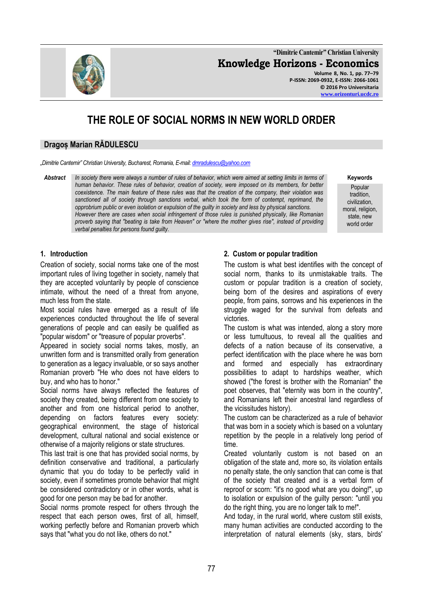**"Dimitrie Cantemir" Christian University Knowledge Horizons - Economics Volume 8, No. 1, pp. 77–79 P-ISSN: 2069-0932, E-ISSN: 2066-1061 © 2016 Pro Universitaria**

# **THE ROLE OF SOCIAL NORMS IN NEW WORLD ORDER**

## **Dragoș Marian RĂDULESCU**

*"Dimitrie Cantemir" Christian University, Bucharest, Romania, E-mail[: dmradulescu@yahoo.com](mailto:dmradulescu@yahoo.com)*

*Abstract In society there were always a number of rules of behavior, which were aimed at setting limits in terms of human behavior. These rules of behavior, creation of society, were imposed on its members, for better coexistence. The main feature of these rules was that the creation of the company, their violation was sanctioned all of society through sanctions verbal, which took the form of contempt, reprimand, the opprobrium public or even isolation or expulsion of the guilty in society and less by physical sanctions. However there are cases when social infringement of those rules is punished physically, like Romanian proverb saying that "beating is take from Heaven" or "where the mother gives rise", instead of providing verbal penalties for persons found guilty.*

**Keywords**

Popular tradition, civilization, moral, religion, state, new world order

#### **1. Introduction**

Creation of society, social norms take one of the most important rules of living together in society, namely that they are accepted voluntarily by people of conscience intimate, without the need of a threat from anyone, much less from the state.

Most social rules have emerged as a result of life experiences conducted throughout the life of several generations of people and can easily be qualified as "popular wisdom" or "treasure of popular proverbs".

Appeared in society social norms takes, mostly, an unwritten form and is transmitted orally from generation to generation as a legacy invaluable, or so says another Romanian proverb "He who does not have elders to buy, and who has to honor."

Social norms have always reflected the features of society they created, being different from one society to another and from one historical period to another, depending on factors features every society: geographical environment, the stage of historical development, cultural national and social existence or otherwise of a majority religions or state structures.

This last trait is one that has provided social norms, by definition conservative and traditional, a particularly dynamic that you do today to be perfectly valid in society, even if sometimes promote behavior that might be considered contradictory or in other words, what is good for one person may be bad for another.

Social norms promote respect for others through the respect that each person owes, first of all, himself, working perfectly before and Romanian proverb which says that "what you do not like, others do not."

## **2. Custom or popular tradition**

The custom is what best identifies with the concept of social norm, thanks to its unmistakable traits. The custom or popular tradition is a creation of society, being born of the desires and aspirations of every people, from pains, sorrows and his experiences in the struggle waged for the survival from defeats and victories.

The custom is what was intended, along a story more or less tumultuous, to reveal all the qualities and defects of a nation because of its conservative, a perfect identification with the place where he was born and formed and especially has extraordinary possibilities to adapt to hardships weather, which showed ("the forest is brother with the Romanian" the poet observes, that "eternity was born in the country", and Romanians left their ancestral land regardless of the vicissitudes history).

The custom can be characterized as a rule of behavior that was born in a society which is based on a voluntary repetition by the people in a relatively long period of time.

Created voluntarily custom is not based on an obligation of the state and, more so, its violation entails no penalty state, the only sanction that can come is that of the society that created and is a verbal form of reproof or scorn: "it's no good what are you doing!", up to isolation or expulsion of the guilty person: "until you do the right thing, you are no longer talk to me!".

And today, in the rural world, where custom still exists, many human activities are conducted according to the interpretation of natural elements (sky, stars, birds'

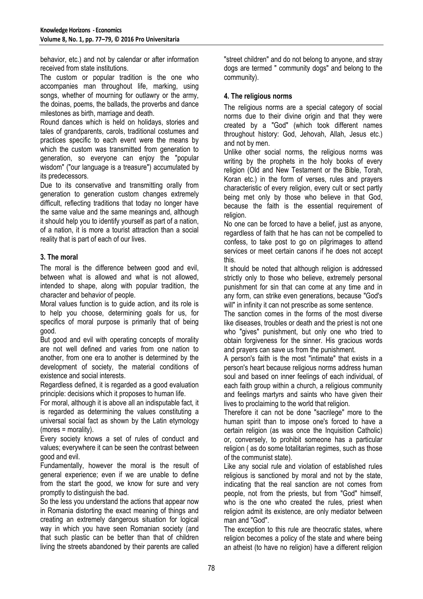behavior, etc.) and not by calendar or after information received from state institutions.

The custom or popular tradition is the one who accompanies man throughout life, marking, using songs, whether of mourning for outlawry or the army, the doinas, poems, the ballads, the proverbs and dance milestones as birth, marriage and death.

Round dances which is held on holidays, stories and tales of grandparents, carols, traditional costumes and practices specific to each event were the means by which the custom was transmitted from generation to generation, so everyone can enjoy the "popular wisdom" ("our language is a treasure") accumulated by its predecessors.

Due to its conservative and transmitting orally from generation to generation custom changes extremely difficult, reflecting traditions that today no longer have the same value and the same meanings and, although it should help you to identify yourself as part of a nation, of a nation, it is more a tourist attraction than a social reality that is part of each of our lives.

## **3. The moral**

The moral is the difference between good and evil, between what is allowed and what is not allowed, intended to shape, along with popular tradition, the character and behavior of people.

Moral values function is to guide action, and its role is to help you choose, determining goals for us, for specifics of moral purpose is primarily that of being good.

But good and evil with operating concepts of morality are not well defined and varies from one nation to another, from one era to another is determined by the development of society, the material conditions of existence and social interests.

Regardless defined, it is regarded as a good evaluation principle: decisions which it proposes to human life.

For moral, although it is above all an indisputable fact, it is regarded as determining the values constituting a universal social fact as shown by the Latin etymology (mores = morality).

Every society knows a set of rules of conduct and values; everywhere it can be seen the contrast between good and evil.

Fundamentally, however the moral is the result of general experience; even if we are unable to define from the start the good, we know for sure and very promptly to distinguish the bad.

So the less you understand the actions that appear now in Romania distorting the exact meaning of things and creating an extremely dangerous situation for logical way in which you have seen Romanian society (and that such plastic can be better than that of children living the streets abandoned by their parents are called

"street children" and do not belong to anyone, and stray dogs are termed " community dogs" and belong to the community).

## **4. The religious norms**

The religious norms are a special category of social norms due to their divine origin and that they were created by a "God" (which took different names throughout history: God, Jehovah, Allah, Jesus etc.) and not by men.

Unlike other social norms, the religious norms was writing by the prophets in the holy books of every religion (Old and New Testament or the Bible, Torah, Koran etc.) in the form of verses, rules and prayers characteristic of every religion, every cult or sect partly being met only by those who believe in that God, because the faith is the essential requirement of religion.

No one can be forced to have a belief, just as anyone, regardless of faith that he has can not be compelled to confess, to take post to go on pilgrimages to attend services or meet certain canons if he does not accept this.

It should be noted that although religion is addressed strictly only to those who believe, extremely personal punishment for sin that can come at any time and in any form, can strike even generations, because "God's will" in infinity it can not prescribe as some sentence.

The sanction comes in the forms of the most diverse like diseases, troubles or death and the priest is not one who "gives" punishment, but only one who tried to obtain forgiveness for the sinner. His gracious words and prayers can save us from the punishment.

A person's faith is the most "intimate" that exists in a person's heart because religious norms address human soul and based on inner feelings of each individual, of each faith group within a church, a religious community and feelings martyrs and saints who have given their lives to proclaiming to the world that religion.

Therefore it can not be done "sacrilege" more to the human spirit than to impose one's forced to have a certain religion (as was once the Inquisition Catholic) or, conversely, to prohibit someone has a particular religion ( as do some totalitarian regimes, such as those of the communist state).

Like any social rule and violation of established rules religious is sanctioned by moral and not by the state, indicating that the real sanction are not comes from people, not from the priests, but from "God" himself, who is the one who created the rules, priest when religion admit its existence, are only mediator between man and "God".

The exception to this rule are theocratic states, where religion becomes a policy of the state and where being an atheist (to have no religion) have a different religion